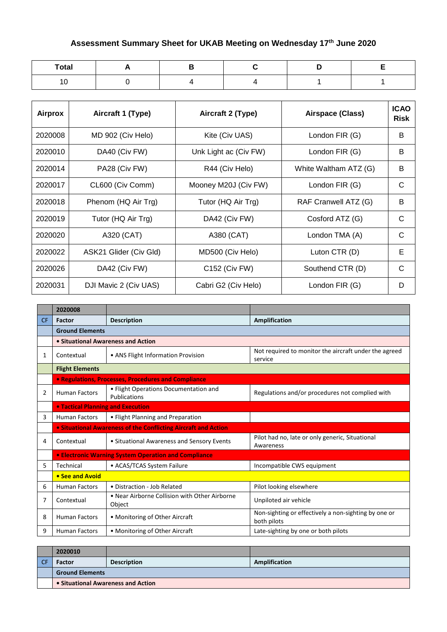## **Assessment Summary Sheet for UKAB Meeting on Wednesday 17th June 2020**

| <b>Total</b>  | . . |  |  |
|---------------|-----|--|--|
| $\sim$<br>ט ו |     |  |  |

| Airprox | Aircraft 1 (Type)      | Aircraft 2 (Type)     | Airspace (Class)      | <b>ICAO</b><br><b>Risk</b> |
|---------|------------------------|-----------------------|-----------------------|----------------------------|
| 2020008 | MD 902 (Civ Helo)      | Kite (Civ UAS)        | London FIR (G)        | B                          |
| 2020010 | DA40 (Civ FW)          | Unk Light ac (Civ FW) | London FIR (G)        | B                          |
| 2020014 | PA28 (Civ FW)          | R44 (Civ Helo)        | White Waltham ATZ (G) | B                          |
| 2020017 | CL600 (Civ Comm)       | Mooney M20J (Civ FW)  | London FIR (G)        | C                          |
| 2020018 | Phenom (HQ Air Trg)    | Tutor (HQ Air Trg)    | RAF Cranwell ATZ (G)  | B                          |
| 2020019 | Tutor (HQ Air Trg)     | DA42 (Civ FW)         | Cosford ATZ (G)       | C                          |
| 2020020 | A320 (CAT)             | A380 (CAT)            | London TMA (A)        | C                          |
| 2020022 | ASK21 Glider (Civ Gld) | MD500 (Civ Helo)      | Luton CTR (D)         | Е                          |
| 2020026 | DA42 (Civ FW)          | C152 (Civ FW)         | Southend CTR (D)      | C                          |
| 2020031 | DJI Mavic 2 (Civ UAS)  | Cabri G2 (Civ Helo)   | London FIR (G)        | D                          |

|     | 2020008                                  |                                                                |                                                                     |
|-----|------------------------------------------|----------------------------------------------------------------|---------------------------------------------------------------------|
| CF. | <b>Factor</b>                            | <b>Description</b>                                             | Amplification                                                       |
|     | <b>Ground Elements</b>                   |                                                                |                                                                     |
|     | • Situational Awareness and Action       |                                                                |                                                                     |
| 1   | Contextual                               | • ANS Flight Information Provision                             | Not required to monitor the aircraft under the agreed<br>service    |
|     | <b>Flight Elements</b>                   |                                                                |                                                                     |
|     |                                          | • Regulations, Processes, Procedures and Compliance            |                                                                     |
| 2   | <b>Human Factors</b>                     | • Flight Operations Documentation and<br>Publications          | Regulations and/or procedures not complied with                     |
|     | <b>• Tactical Planning and Execution</b> |                                                                |                                                                     |
| 3   | <b>Human Factors</b>                     | • Flight Planning and Preparation                              |                                                                     |
|     |                                          | • Situational Awareness of the Conflicting Aircraft and Action |                                                                     |
| 4   | Contextual                               | • Situational Awareness and Sensory Events                     | Pilot had no, late or only generic, Situational<br>Awareness        |
|     |                                          | • Electronic Warning System Operation and Compliance           |                                                                     |
| 5.  | Technical                                | • ACAS/TCAS System Failure                                     | Incompatible CWS equipment                                          |
|     | • See and Avoid                          |                                                                |                                                                     |
| 6   | <b>Human Factors</b>                     | • Distraction - Job Related                                    | Pilot looking elsewhere                                             |
| 7   | Contextual                               | • Near Airborne Collision with Other Airborne<br>Object        | Unpiloted air vehicle                                               |
| 8   | <b>Human Factors</b>                     | • Monitoring of Other Aircraft                                 | Non-sighting or effectively a non-sighting by one or<br>both pilots |
| 9   | <b>Human Factors</b>                     | • Monitoring of Other Aircraft                                 | Late-sighting by one or both pilots                                 |

| 2020010                            |                    |               |
|------------------------------------|--------------------|---------------|
| <b>Factor</b>                      | <b>Description</b> | Amplification |
| <b>Ground Elements</b>             |                    |               |
| • Situational Awareness and Action |                    |               |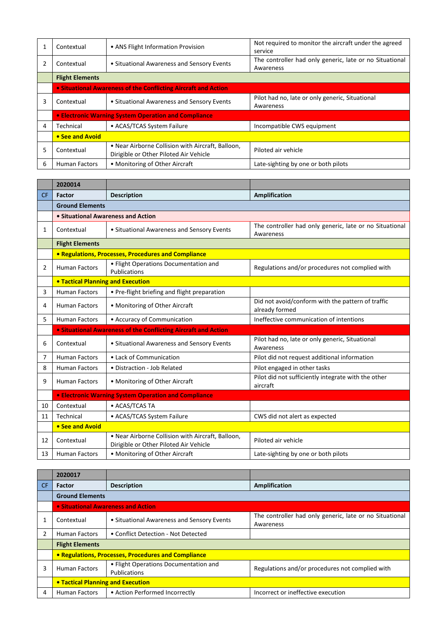|   | Contextual                                                     | • ANS Flight Information Provision                                                          | Not required to monitor the aircraft under the agreed<br>service     |  |
|---|----------------------------------------------------------------|---------------------------------------------------------------------------------------------|----------------------------------------------------------------------|--|
|   | Contextual                                                     | • Situational Awareness and Sensory Events                                                  | The controller had only generic, late or no Situational<br>Awareness |  |
|   | <b>Flight Elements</b>                                         |                                                                                             |                                                                      |  |
|   | • Situational Awareness of the Conflicting Aircraft and Action |                                                                                             |                                                                      |  |
| 3 | Contextual                                                     | • Situational Awareness and Sensory Events                                                  | Pilot had no, late or only generic, Situational<br>Awareness         |  |
|   |                                                                | <b>.</b> Electronic Warning System Operation and Compliance                                 |                                                                      |  |
| 4 | Technical                                                      | • ACAS/TCAS System Failure                                                                  | Incompatible CWS equipment                                           |  |
|   | • See and Avoid                                                |                                                                                             |                                                                      |  |
| 5 | Contextual                                                     | • Near Airborne Collision with Aircraft, Balloon,<br>Dirigible or Other Piloted Air Vehicle | Piloted air vehicle                                                  |  |
| 6 | <b>Human Factors</b>                                           | • Monitoring of Other Aircraft                                                              | Late-sighting by one or both pilots                                  |  |

|           | 2020014                                  |                                                                                             |                                                                      |  |  |
|-----------|------------------------------------------|---------------------------------------------------------------------------------------------|----------------------------------------------------------------------|--|--|
| <b>CF</b> | <b>Factor</b>                            | <b>Description</b>                                                                          | <b>Amplification</b>                                                 |  |  |
|           | <b>Ground Elements</b>                   |                                                                                             |                                                                      |  |  |
|           | • Situational Awareness and Action       |                                                                                             |                                                                      |  |  |
| 1         | Contextual                               | • Situational Awareness and Sensory Events                                                  | The controller had only generic, late or no Situational<br>Awareness |  |  |
|           | <b>Flight Elements</b>                   |                                                                                             |                                                                      |  |  |
|           |                                          | • Regulations, Processes, Procedures and Compliance                                         |                                                                      |  |  |
| 2         | <b>Human Factors</b>                     | • Flight Operations Documentation and<br>Publications                                       | Regulations and/or procedures not complied with                      |  |  |
|           | <b>. Tactical Planning and Execution</b> |                                                                                             |                                                                      |  |  |
| 3         | <b>Human Factors</b>                     | • Pre-flight briefing and flight preparation                                                |                                                                      |  |  |
| 4         | <b>Human Factors</b>                     | • Monitoring of Other Aircraft                                                              | Did not avoid/conform with the pattern of traffic<br>already formed  |  |  |
| 5         | <b>Human Factors</b>                     | • Accuracy of Communication                                                                 | Ineffective communication of intentions                              |  |  |
|           |                                          | <b>.</b> Situational Awareness of the Conflicting Aircraft and Action                       |                                                                      |  |  |
| 6         | Contextual                               | • Situational Awareness and Sensory Events                                                  | Pilot had no, late or only generic, Situational<br>Awareness         |  |  |
| 7         | <b>Human Factors</b>                     | • Lack of Communication                                                                     | Pilot did not request additional information                         |  |  |
| 8         | <b>Human Factors</b>                     | • Distraction - Job Related                                                                 | Pilot engaged in other tasks                                         |  |  |
| 9         | <b>Human Factors</b>                     | • Monitoring of Other Aircraft                                                              | Pilot did not sufficiently integrate with the other<br>aircraft      |  |  |
|           |                                          | <b>• Electronic Warning System Operation and Compliance</b>                                 |                                                                      |  |  |
| 10        | Contextual                               | • ACAS/TCAS TA                                                                              |                                                                      |  |  |
| 11        | Technical                                | • ACAS/TCAS System Failure                                                                  | CWS did not alert as expected                                        |  |  |
|           | • See and Avoid                          |                                                                                             |                                                                      |  |  |
| 12        | Contextual                               | . Near Airborne Collision with Aircraft, Balloon,<br>Dirigible or Other Piloted Air Vehicle | Piloted air vehicle                                                  |  |  |
| 13        | <b>Human Factors</b>                     | • Monitoring of Other Aircraft                                                              | Late-sighting by one or both pilots                                  |  |  |

|     | 2020017                                             |                                                       |                                                                      |  |
|-----|-----------------------------------------------------|-------------------------------------------------------|----------------------------------------------------------------------|--|
| CF. | <b>Factor</b>                                       | <b>Description</b>                                    | Amplification                                                        |  |
|     | <b>Ground Elements</b>                              |                                                       |                                                                      |  |
|     |                                                     | • Situational Awareness and Action                    |                                                                      |  |
|     | Contextual                                          | • Situational Awareness and Sensory Events            | The controller had only generic, late or no Situational<br>Awareness |  |
|     | Human Factors                                       | • Conflict Detection - Not Detected                   |                                                                      |  |
|     | <b>Flight Elements</b>                              |                                                       |                                                                      |  |
|     | • Regulations, Processes, Procedures and Compliance |                                                       |                                                                      |  |
| 3   | <b>Human Factors</b>                                | • Flight Operations Documentation and<br>Publications | Regulations and/or procedures not complied with                      |  |
|     | • Tactical Planning and Execution                   |                                                       |                                                                      |  |
| 4   | <b>Human Factors</b>                                | • Action Performed Incorrectly                        | Incorrect or ineffective execution                                   |  |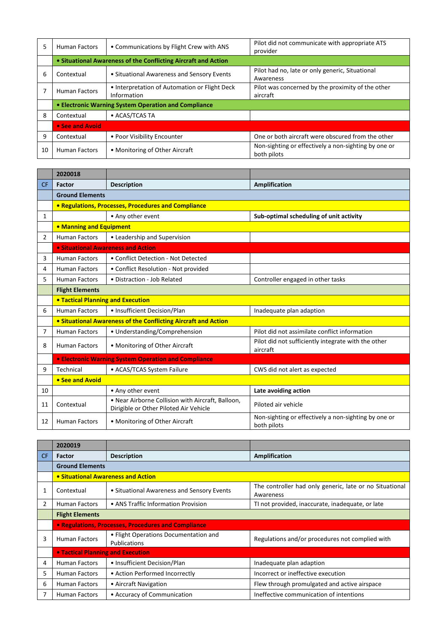| 5  | <b>Human Factors</b>                                           | • Communications by Flight Crew with ANS                     | Pilot did not communicate with appropriate ATS<br>provider          |  |  |
|----|----------------------------------------------------------------|--------------------------------------------------------------|---------------------------------------------------------------------|--|--|
|    | • Situational Awareness of the Conflicting Aircraft and Action |                                                              |                                                                     |  |  |
| 6  | Contextual                                                     | • Situational Awareness and Sensory Events                   | Pilot had no, late or only generic, Situational<br>Awareness        |  |  |
|    | <b>Human Factors</b>                                           | • Interpretation of Automation or Flight Deck<br>Information | Pilot was concerned by the proximity of the other<br>aircraft       |  |  |
|    |                                                                | • Electronic Warning System Operation and Compliance         |                                                                     |  |  |
| 8  | Contextual                                                     | • ACAS/TCAS TA                                               |                                                                     |  |  |
|    | • See and Avoid                                                |                                                              |                                                                     |  |  |
| 9  | Contextual                                                     | • Poor Visibility Encounter                                  | One or both aircraft were obscured from the other                   |  |  |
| 10 | <b>Human Factors</b>                                           | • Monitoring of Other Aircraft                               | Non-sighting or effectively a non-sighting by one or<br>both pilots |  |  |

|                | 2020018                                  |                                                                                             |                                                                     |  |
|----------------|------------------------------------------|---------------------------------------------------------------------------------------------|---------------------------------------------------------------------|--|
| <b>CF</b>      | Factor                                   | <b>Description</b>                                                                          | Amplification                                                       |  |
|                | <b>Ground Elements</b>                   |                                                                                             |                                                                     |  |
|                |                                          | <b>• Regulations, Processes, Procedures and Compliance</b>                                  |                                                                     |  |
| 1              |                                          | • Any other event                                                                           | Sub-optimal scheduling of unit activity                             |  |
|                | • Manning and Equipment                  |                                                                                             |                                                                     |  |
| $\overline{2}$ | <b>Human Factors</b>                     | • Leadership and Supervision                                                                |                                                                     |  |
|                | • Situational Awareness and Action       |                                                                                             |                                                                     |  |
| 3              | <b>Human Factors</b>                     | • Conflict Detection - Not Detected                                                         |                                                                     |  |
| 4              | <b>Human Factors</b>                     | • Conflict Resolution - Not provided                                                        |                                                                     |  |
| 5              | <b>Human Factors</b>                     | · Distraction - Job Related                                                                 | Controller engaged in other tasks                                   |  |
|                | <b>Flight Elements</b>                   |                                                                                             |                                                                     |  |
|                | <b>• Tactical Planning and Execution</b> |                                                                                             |                                                                     |  |
| 6              | <b>Human Factors</b>                     | • Insufficient Decision/Plan                                                                | Inadequate plan adaption                                            |  |
|                |                                          | <b>• Situational Awareness of the Conflicting Aircraft and Action</b>                       |                                                                     |  |
| 7              | <b>Human Factors</b>                     | • Understanding/Comprehension                                                               | Pilot did not assimilate conflict information                       |  |
| 8              | <b>Human Factors</b>                     | • Monitoring of Other Aircraft                                                              | Pilot did not sufficiently integrate with the other<br>aircraft     |  |
|                |                                          | • Electronic Warning System Operation and Compliance                                        |                                                                     |  |
| 9              | Technical                                | • ACAS/TCAS System Failure                                                                  | CWS did not alert as expected                                       |  |
|                | • See and Avoid                          |                                                                                             |                                                                     |  |
| 10             |                                          | • Any other event                                                                           | Late avoiding action                                                |  |
| 11             | Contextual                               | . Near Airborne Collision with Aircraft, Balloon,<br>Dirigible or Other Piloted Air Vehicle | Piloted air vehicle                                                 |  |
| 12             | <b>Human Factors</b>                     | • Monitoring of Other Aircraft                                                              | Non-sighting or effectively a non-sighting by one or<br>both pilots |  |

|              | 2020019                                  |                                                       |                                                                      |  |
|--------------|------------------------------------------|-------------------------------------------------------|----------------------------------------------------------------------|--|
| <b>CF</b>    | <b>Factor</b>                            | <b>Description</b>                                    | Amplification                                                        |  |
|              | <b>Ground Elements</b>                   |                                                       |                                                                      |  |
|              |                                          | • Situational Awareness and Action                    |                                                                      |  |
| $\mathbf{1}$ | Contextual                               | • Situational Awareness and Sensory Events            | The controller had only generic, late or no Situational<br>Awareness |  |
| 2            | <b>Human Factors</b>                     | • ANS Traffic Information Provision                   | TI not provided, inaccurate, inadequate, or late                     |  |
|              | <b>Flight Elements</b>                   |                                                       |                                                                      |  |
|              |                                          | • Regulations, Processes, Procedures and Compliance   |                                                                      |  |
| 3            | <b>Human Factors</b>                     | • Flight Operations Documentation and<br>Publications | Regulations and/or procedures not complied with                      |  |
|              | <b>• Tactical Planning and Execution</b> |                                                       |                                                                      |  |
| 4            | <b>Human Factors</b>                     | • Insufficient Decision/Plan                          | Inadequate plan adaption                                             |  |
| 5            | <b>Human Factors</b>                     | • Action Performed Incorrectly                        | Incorrect or ineffective execution                                   |  |
| 6            | <b>Human Factors</b>                     | • Aircraft Navigation                                 | Flew through promulgated and active airspace                         |  |
| 7            | <b>Human Factors</b>                     | • Accuracy of Communication                           | Ineffective communication of intentions                              |  |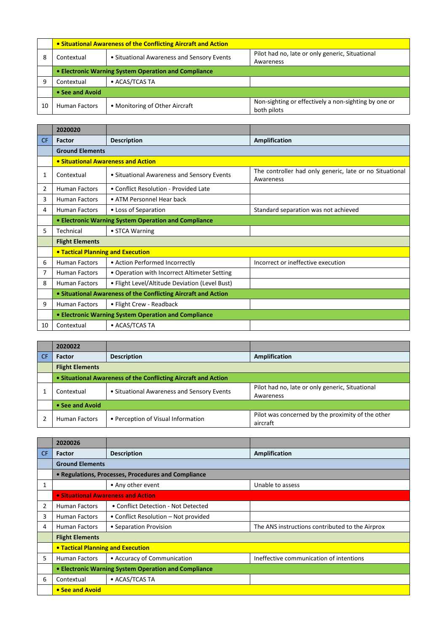|    | • Situational Awareness of the Conflicting Aircraft and Action |                                            |                                                                     |  |
|----|----------------------------------------------------------------|--------------------------------------------|---------------------------------------------------------------------|--|
| 8  | Contextual                                                     | • Situational Awareness and Sensory Events | Pilot had no, late or only generic, Situational                     |  |
|    |                                                                |                                            | Awareness                                                           |  |
|    | • Electronic Warning System Operation and Compliance           |                                            |                                                                     |  |
| 9  | Contextual                                                     | • ACAS/TCAS TA                             |                                                                     |  |
|    | • See and Avoid                                                |                                            |                                                                     |  |
| 10 | <b>Human Factors</b>                                           | • Monitoring of Other Aircraft             | Non-sighting or effectively a non-sighting by one or<br>both pilots |  |

|           | 2020020                                                        |                                                |                                                                      |  |
|-----------|----------------------------------------------------------------|------------------------------------------------|----------------------------------------------------------------------|--|
| <b>CF</b> | <b>Factor</b>                                                  | <b>Description</b>                             | Amplification                                                        |  |
|           | <b>Ground Elements</b>                                         |                                                |                                                                      |  |
|           | • Situational Awareness and Action                             |                                                |                                                                      |  |
| 1         | Contextual                                                     | • Situational Awareness and Sensory Events     | The controller had only generic, late or no Situational<br>Awareness |  |
| 2         | <b>Human Factors</b>                                           | • Conflict Resolution - Provided Late          |                                                                      |  |
| 3         | <b>Human Factors</b>                                           | • ATM Personnel Hear back                      |                                                                      |  |
| 4         | <b>Human Factors</b>                                           | • Loss of Separation                           | Standard separation was not achieved                                 |  |
|           | <b>• Electronic Warning System Operation and Compliance</b>    |                                                |                                                                      |  |
| 5         | Technical                                                      | • STCA Warning                                 |                                                                      |  |
|           | <b>Flight Elements</b>                                         |                                                |                                                                      |  |
|           | <b>• Tactical Planning and Execution</b>                       |                                                |                                                                      |  |
| 6         | <b>Human Factors</b>                                           | • Action Performed Incorrectly                 | Incorrect or ineffective execution                                   |  |
| 7         | <b>Human Factors</b>                                           | • Operation with Incorrect Altimeter Setting   |                                                                      |  |
| 8         | <b>Human Factors</b>                                           | • Flight Level/Altitude Deviation (Level Bust) |                                                                      |  |
|           | • Situational Awareness of the Conflicting Aircraft and Action |                                                |                                                                      |  |
| 9         | <b>Human Factors</b>                                           | • Flight Crew - Readback                       |                                                                      |  |
|           | • Electronic Warning System Operation and Compliance           |                                                |                                                                      |  |
| 10        | Contextual                                                     | • ACAS/TCAS TA                                 |                                                                      |  |

|    | 2020022                                                        |                                            |                                                   |
|----|----------------------------------------------------------------|--------------------------------------------|---------------------------------------------------|
| CF | Factor                                                         | <b>Description</b>                         | Amplification                                     |
|    | <b>Flight Elements</b>                                         |                                            |                                                   |
|    | • Situational Awareness of the Conflicting Aircraft and Action |                                            |                                                   |
|    | Contextual                                                     | • Situational Awareness and Sensory Events | Pilot had no, late or only generic, Situational   |
|    |                                                                |                                            | Awareness                                         |
|    | • See and Avoid                                                |                                            |                                                   |
|    | <b>Human Factors</b>                                           | • Perception of Visual Information         | Pilot was concerned by the proximity of the other |
|    |                                                                |                                            | aircraft                                          |

|     | 2020026                                              |                                      |                                                 |  |  |
|-----|------------------------------------------------------|--------------------------------------|-------------------------------------------------|--|--|
| CF. | <b>Factor</b>                                        | <b>Description</b>                   | <b>Amplification</b>                            |  |  |
|     | <b>Ground Elements</b>                               |                                      |                                                 |  |  |
|     | • Regulations, Processes, Procedures and Compliance  |                                      |                                                 |  |  |
| 1   |                                                      | • Any other event                    | Unable to assess                                |  |  |
|     | • Situational Awareness and Action                   |                                      |                                                 |  |  |
| 2   | <b>Human Factors</b>                                 | • Conflict Detection - Not Detected  |                                                 |  |  |
| 3   | Human Factors                                        | • Conflict Resolution – Not provided |                                                 |  |  |
| 4   | <b>Human Factors</b>                                 | • Separation Provision               | The ANS instructions contributed to the Airprox |  |  |
|     | <b>Flight Elements</b>                               |                                      |                                                 |  |  |
|     | <b>. Tactical Planning and Execution</b>             |                                      |                                                 |  |  |
| 5.  | <b>Human Factors</b>                                 | • Accuracy of Communication          | Ineffective communication of intentions         |  |  |
|     | • Electronic Warning System Operation and Compliance |                                      |                                                 |  |  |
| 6   | Contextual                                           | • ACAS/TCAS TA                       |                                                 |  |  |
|     | • See and Avoid                                      |                                      |                                                 |  |  |